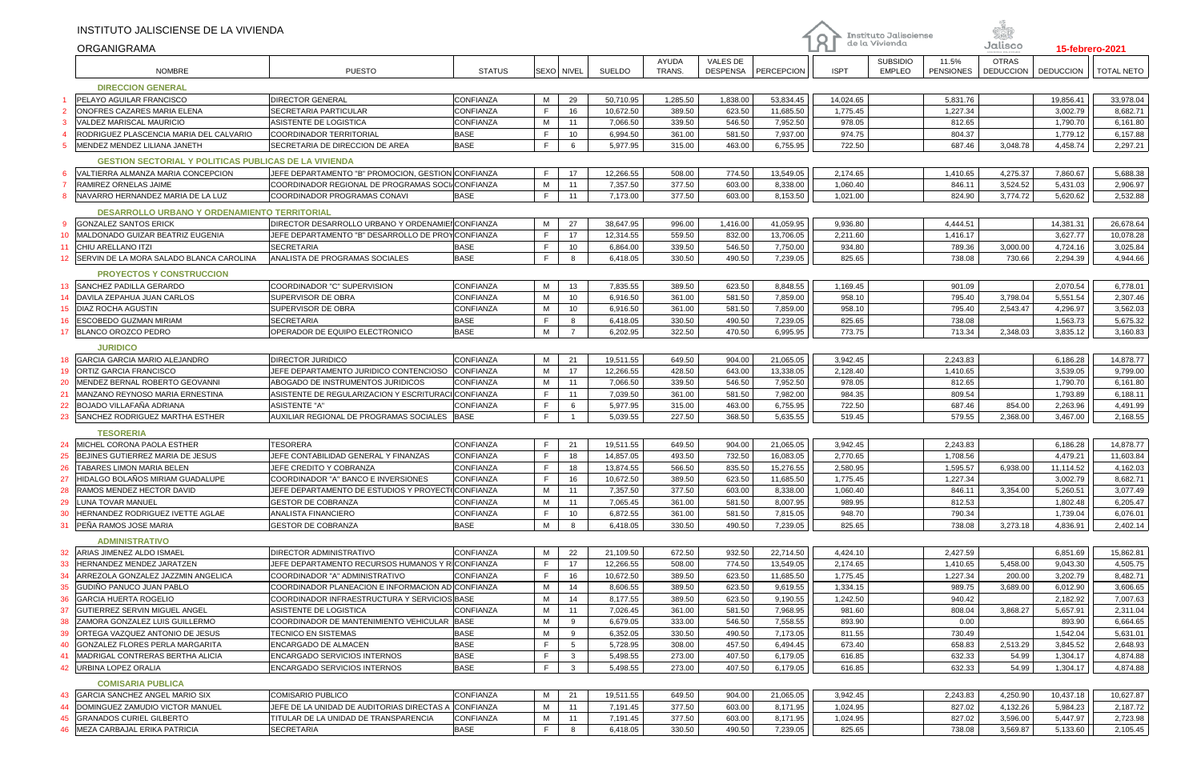|                                 | INSTITUTO JALISCIENSE DE LA VIVIENDA<br>ORGANIGRAMA          |                                                                                                        |                  |             |                |               |                 |                             |            | O           | Instituto Jalisciense<br>de la Vivienda |                           | Jalisco                          | 15-febrero-2021  |                   |
|---------------------------------|--------------------------------------------------------------|--------------------------------------------------------------------------------------------------------|------------------|-------------|----------------|---------------|-----------------|-----------------------------|------------|-------------|-----------------------------------------|---------------------------|----------------------------------|------------------|-------------------|
|                                 | <b>NOMBRE</b>                                                | <b>PUESTO</b>                                                                                          | <b>STATUS</b>    |             | SEXO   NIVEI   | <b>SUELDO</b> | AYUDA<br>TRANS. | VALES DE<br><b>DESPENSA</b> | PERCEPCION | <b>ISPT</b> | <b>SUBSIDIO</b><br><b>EMPLEO</b>        | 11.5%<br><b>PENSIONES</b> | <b>OTRAS</b><br><b>DEDUCCION</b> | <b>DEDUCCION</b> | <b>TOTAL NETO</b> |
|                                 | <b>DIRECCION GENERAL</b>                                     |                                                                                                        |                  |             |                |               |                 |                             |            |             |                                         |                           |                                  |                  |                   |
|                                 | PELAYO AGUILAR FRANCISCO                                     | <b>DIRECTOR GENERAL</b>                                                                                | CONFIANZA        | M           | 29             | 50,710.95     | 1,285.50        | 1,838.00                    | 53,834.45  | 14,024.65   |                                         | 5,831.76                  |                                  | 19,856.41        | 33,978.04         |
|                                 | ONOFRES CAZARES MARIA ELENA                                  | SECRETARIA PARTICULAR                                                                                  | CONFIANZA        | F.          | 16             | 10,672.50     | 389.50          | 623.50                      | 11,685.50  | 1,775.45    |                                         | 1,227.34                  |                                  | 3,002.79         | 8,682.71          |
|                                 | VALDEZ MARISCAL MAURICIO                                     | ASISTENTE DE LOGISTICA                                                                                 | CONFIANZA        | М           | 11             | 7,066.50      | 339.50          | 546.50                      | 7,952.50   | 978.05      |                                         | 812.65                    |                                  | 1,790.70         | 6,161.80          |
|                                 | RODRIGUEZ PLASCENCIA MARIA DEL CALVARIO                      | <b>COORDINADOR TERRITORIAL</b>                                                                         | <b>BASE</b>      | F           | 10             | 6,994.50      | 361.00          | 581.50                      | 7,937.00   | 974.75      |                                         | 804.37                    |                                  | 1,779.12         | 6,157.88          |
| 5.                              | MENDEZ MENDEZ LILIANA JANETH                                 | SECRETARIA DE DIRECCION DE AREA                                                                        | <b>BASE</b>      | F.          | 6              | 5,977.95      | 315.00          | 463.00                      | 6,755.95   | 722.50      |                                         | 687.46                    | 3,048.78                         | 4,458.74         | 2,297.21          |
|                                 |                                                              |                                                                                                        |                  |             |                |               |                 |                             |            |             |                                         |                           |                                  |                  |                   |
|                                 | <b>GESTION SECTORIAL Y POLITICAS PUBLICAS DE LA VIVIENDA</b> |                                                                                                        |                  | F.          | 17             |               |                 |                             |            |             |                                         |                           |                                  |                  |                   |
|                                 | VALTIERRA ALMANZA MARIA CONCEPCION                           | JEFE DEPARTAMENTO "B" PROMOCION, GESTION CONFIANZA<br>COORDINADOR REGIONAL DE PROGRAMAS SOCI/CONFIANZA |                  | M           |                | 12,266.55     | 508.00          | 774.50                      | 13,549.05  | 2,174.65    |                                         | 1,410.65                  | 4,275.37                         | 7,860.67         | 5,688.38          |
|                                 | RAMIREZ ORNELAS JAIME                                        | COORDINADOR PROGRAMAS CONAVI                                                                           | <b>BASE</b>      | F           | 11             | 7,357.50      | 377.50          | 603.00                      | 8,338.00   | 1,060.40    |                                         | 846.11                    | 3,524.52                         | 5,431.03         | 2,906.97          |
|                                 | NAVARRO HERNANDEZ MARIA DE LA LUZ                            |                                                                                                        |                  |             | 11             | 7,173.00      | 377.50          | 603.00                      | 8,153.50   | 1,021.00    |                                         | 824.90                    | 3,774.72                         | 5,620.62         | 2,532.88          |
|                                 | <b>DESARROLLO URBANO Y ORDENAMIENTO TERRITORIAL</b>          |                                                                                                        |                  |             |                |               |                 |                             |            |             |                                         |                           |                                  |                  |                   |
| -9                              | <b>GONZALEZ SANTOS ERICK</b>                                 | DIRECTOR DESARROLLO URBANO Y ORDENAMIEN CONFIANZA                                                      |                  | М           | 27             | 38,647.95     | 996.00          | 1,416.00                    | 41,059.95  | 9,936.80    |                                         | 4,444.51                  |                                  | 14,381.31        | 26,678.64         |
| 10 <sup>°</sup>                 | MALDONADO GUIZAR BEATRIZ EUGENIA                             | JEFE DEPARTAMENTO "B" DESARROLLO DE PROYICONFIANZA                                                     |                  | F           | 17             | 12,314.55     | 559.50          | 832.00                      | 13,706.05  | 2,211.60    |                                         | 1,416.17                  |                                  | 3,627.77         | 10,078.28         |
| 11                              | CHIU ARELLANO ITZI                                           | <b>SECRETARIA</b>                                                                                      | <b>BASE</b>      | F.          | 10             | 6,864.00      | 339.50          | 546.50                      | 7,750.00   | 934.80      |                                         | 789.36                    | 3,000.00                         | 4,724.16         | 3,025.84          |
| 12 <sup>2</sup>                 | SERVIN DE LA MORA SALADO BLANCA CAROLINA                     | ANALISTA DE PROGRAMAS SOCIALES                                                                         | <b>BASE</b>      | F.          | 8              | 6,418.05      | 330.50          | 490.50                      | 7,239.05   | 825.65      |                                         | 738.08                    | 730.66                           | 2,294.39         | 4,944.66          |
| <b>PROYECTOS Y CONSTRUCCION</b> |                                                              |                                                                                                        |                  |             |                |               |                 |                             |            |             |                                         |                           |                                  |                  |                   |
| 13                              | <b>SANCHEZ PADILLA GERARDO</b>                               | COORDINADOR "C" SUPERVISION                                                                            | CONFIANZA        | M           | 13             | 7,835.55      | 389.50          | 623.50                      | 8,848.55   | 1,169.45    |                                         | 901.09                    |                                  | 2,070.54         | 6,778.01          |
| 14                              | DAVILA ZEPAHUA JUAN CARLOS                                   | SUPERVISOR DE OBRA                                                                                     | CONFIANZA        | M           | 10             | 6,916.50      | 361.00          | 581.50                      | 7,859.00   | 958.10      |                                         | 795.40                    | 3,798.04                         | 5,551.54         | 2,307.46          |
| 15                              | DIAZ ROCHA AGUSTIN                                           | SUPERVISOR DE OBRA                                                                                     | CONFIANZA        | M           | 10             | 6,916.50      | 361.00          | 581.50                      | 7,859.00   | 958.10      |                                         | 795.40                    | 2,543.47                         | 4,296.97         | 3,562.03          |
| 16                              | ESCOBEDO GUZMAN MIRIAM                                       | <b>SECRETARIA</b>                                                                                      | <b>BASE</b>      | F.          | 8              | 6,418.05      | 330.50          | 490.50                      | 7,239.05   | 825.65      |                                         | 738.08                    |                                  | 1,563.73         | 5,675.32          |
| 17                              | BLANCO OROZCO PEDRO                                          | OPERADOR DE EQUIPO ELECTRONICO                                                                         | <b>BASE</b>      | M           | $\overline{7}$ | 6,202.95      | 322.50          | 470.50                      | 6,995.95   | 773.75      |                                         | 713.34                    | 2,348.03                         | 3,835.12         | 3,160.83          |
|                                 |                                                              |                                                                                                        |                  |             |                |               |                 |                             |            |             |                                         |                           |                                  |                  |                   |
|                                 | <b>JURIDICO</b>                                              |                                                                                                        |                  |             |                |               |                 |                             |            |             |                                         |                           |                                  |                  |                   |
| 18                              | GARCIA GARCIA MARIO ALEJANDRO                                | DIRECTOR JURIDICO                                                                                      | CONFIANZA        | М           | 21             | 19,511.55     | 649.50          | 904.00                      | 21,065.05  | 3,942.45    |                                         | 2,243.83                  |                                  | 6,186.28         | 14,878.77         |
| 19                              | ORTIZ GARCIA FRANCISCO                                       | JEFE DEPARTAMENTO JURIDICO CONTENCIOSO                                                                 | CONFIANZA        | M           | 17             | 12,266.55     | 428.50          | 643.00                      | 13,338.05  | 2,128.40    |                                         | 1,410.65                  |                                  | 3,539.05         | 9,799.00          |
| 20                              | MENDEZ BERNAL ROBERTO GEOVANNI                               | ABOGADO DE INSTRUMENTOS JURIDICOS                                                                      | CONFIANZA        | М           | 11             | 7,066.50      | 339.50          | 546.50                      | 7,952.50   | 978.05      |                                         | 812.65                    |                                  | 1,790.70         | 6,161.80          |
| 21                              | MANZANO REYNOSO MARIA ERNESTINA                              | ASISTENTE DE REGULARIZACION Y ESCRITURACI CONFIANZA                                                    |                  | F.          | 11             | 7,039.50      | 361.00          | 581.50                      | 7,982.00   | 984.35      |                                         | 809.54                    |                                  | 1,793.89         | 6,188.11          |
| 22                              | BOJADO VILLAFAÑA ADRIANA                                     | <b>ASISTENTE "A"</b>                                                                                   | CONFIANZA        | F           | 6              | 5,977.95      | 315.00          | 463.00                      | 6,755.95   | 722.50      |                                         | 687.46                    | 854.00                           | 2,263.96         | 4,491.99          |
| 23                              | SANCHEZ RODRIGUEZ MARTHA ESTHER                              | AUXILIAR REGIONAL DE PROGRAMAS SOCIALES                                                                | <b>BASE</b>      | F           | $\overline{1}$ | 5.039.55      | 227.50          | 368.50                      | 5.635.55   | 519.45      |                                         | 579.55                    | 2,368.00                         | 3,467.00         | 2,168.55          |
|                                 | <b>TESORERIA</b>                                             |                                                                                                        |                  |             |                |               |                 |                             |            |             |                                         |                           |                                  |                  |                   |
| 24                              | MICHEL CORONA PAOLA ESTHER                                   | <b>TESORERA</b>                                                                                        | CONFIANZA        | F           | 21             | 19,511.55     | 649.50          | 904.00                      | 21,065.05  | 3,942.45    |                                         | 2,243.83                  |                                  | 6,186.28         | 14,878.77         |
| 25                              | BEJINES GUTIERREZ MARIA DE JESUS                             | JEFE CONTABILIDAD GENERAL Y FINANZAS                                                                   | CONFIANZA        | F           | 18             | 14,857.05     | 493.50          | 732.50                      | 16,083.05  | 2,770.65    |                                         | 1,708.56                  |                                  | 4,479.21         | 11,603.84         |
| 26                              | TABARES LIMON MARIA BELEN                                    | JEFE CREDITO Y COBRANZA                                                                                | CONFIANZA        | F           | 18             | 13,874.55     | 566.50          | 835.50                      | 15,276.55  | 2,580.95    |                                         | 1,595.57                  | 6,938.00                         | 11,114.52        | 4,162.03          |
| 27                              | HIDALGO BOLAÑOS MIRIAM GUADALUPE                             | COORDINADOR "A" BANCO E INVERSIONES                                                                    | CONFIANZA        | F           | 16             | 10,672.50     | 389.50          | 623.50                      | 11,685.50  | 1,775.45    |                                         | 1,227.34                  |                                  | 3,002.79         | 8,682.71          |
| 28                              | RAMOS MENDEZ HECTOR DAVID                                    | JEFE DEPARTAMENTO DE ESTUDIOS Y PROYECT(CONFIANZA                                                      |                  | M           | 11             | 7,357.50      | 377.50          | 603.00                      | 8,338.00   | 1,060.40    |                                         | 846.11                    | 3,354.00                         | 5,260.51         | 3,077.49          |
| 29                              | LUNA TOVAR MANUEL                                            | <b>GESTOR DE COBRANZA</b>                                                                              | <b>CONFIANZA</b> | М           | 11             | 7,065.45      | 361.00          | 581.50                      | 8,007.95   | 989.95      |                                         | 812.53                    |                                  | 1,802.48         | 6,205.47          |
| 30                              | HERNANDEZ RODRIGUEZ IVETTE AGLAE                             | ANALISTA FINANCIERO                                                                                    | CONFIANZA        | F.          | 10             | 6,872.55      | 361.00          | 581.50                      | 7,815.05   | 948.70      |                                         | 790.34                    |                                  | 1,739.04         | 6,076.01          |
| 31                              | PEÑA RAMOS JOSE MARIA                                        | <b>GESTOR DE COBRANZA</b>                                                                              | <b>BASE</b>      | M           | 8              | 6,418.05      | 330.50          | 490.50                      | 7,239.05   | 825.65      |                                         | 738.08                    | 3,273.18                         | 4,836.91         | 2,402.14          |
|                                 | <b>ADMINISTRATIVO</b>                                        |                                                                                                        |                  |             |                |               |                 |                             |            |             |                                         |                           |                                  |                  |                   |
| 32                              | ARIAS JIMENEZ ALDO ISMAEL                                    | DIRECTOR ADMINISTRATIVO                                                                                | <b>CONFIANZA</b> | M           | 22             | 21,109.50     | 672.50          | 932.50                      | 22,714.50  | 4,424.10    |                                         | 2,427.59                  |                                  | 6,851.69         | 15,862.81         |
| 33                              | HERNANDEZ MENDEZ JARATZEN                                    | JEFE DEPARTAMENTO RECURSOS HUMANOS Y R∥CONFIANZA                                                       |                  | F.          | 17             | 12,266.55     | 508.00          | 774.50                      | 13,549.05  | 2,174.65    |                                         | 1,410.65                  | 5,458.00                         | 9,043.30         | 4,505.75          |
|                                 | ARREZOLA GONZALEZ JAZZMIN ANGELICA                           | COORDINADOR "A" ADMINISTRATIVO                                                                         | CONFIANZA        | $\mathsf F$ | 16             | 10,672.50     | 389.50          | 623.50                      | 11,685.50  | 1,775.45    |                                         | 1,227.34                  | 200.00                           | 3,202.79         | 8,482.71          |
| 35                              | GUDIÑO PANUCO JUAN PABLO                                     | COORDINADOR PLANEACION E INFORMACION AD CONFIANZA                                                      |                  | M           | 14             | 8,606.55      | 389.50          | 623.50                      | 9,619.55   | 1,334.15    |                                         | 989.75                    | 3,689.00                         | 6,012.90         | 3,606.65          |
| 36                              | <b>GARCIA HUERTA ROGELIO</b>                                 | COORDINADOR INFRAESTRUCTURA Y SERVICIOS BASE                                                           |                  | M           | 14             | 8,177.55      | 389.50          | 623.50                      | 9,190.55   | 1,242.50    |                                         | 940.42                    |                                  | 2,182.92         | 7,007.63          |
| 37                              | <b>GUTIERREZ SERVIN MIGUEL ANGEL</b>                         | ASISTENTE DE LOGISTICA                                                                                 | CONFIANZA        | M           | 11             | 7,026.45      | 361.00          | 581.50                      | 7,968.95   | 981.60      |                                         | 808.04                    | 3,868.27                         | 5,657.91         | 2,311.04          |
| 38                              | ZAMORA GONZALEZ LUIS GUILLERMO                               | COORDINADOR DE MANTENIMIENTO VEHICULAR BASE                                                            |                  | M           | 9              | 6,679.05      | 333.00          | 546.50                      | 7,558.55   | 893.90      |                                         | 0.00                      |                                  | 893.90           | 6,664.65          |
| 39                              | ORTEGA VAZQUEZ ANTONIO DE JESUS                              | TECNICO EN SISTEMAS                                                                                    | <b>BASE</b>      | M           | 9              | 6,352.05      | 330.50          | 490.50                      | 7,173.05   | 811.55      |                                         | 730.49                    |                                  | 1,542.04         | 5,631.01          |
| 40                              | GONZALEZ FLORES PERLA MARGARITA                              | ENCARGADO DE ALMACEN                                                                                   | <b>BASE</b>      | F.          | 5              | 5,728.95      | 308.00          | 457.50                      | 6,494.45   | 673.40      |                                         | 658.83                    | 2,513.29                         | 3,845.52         | 2,648.93          |
| 41                              | MADRIGAL CONTRERAS BERTHA ALICIA                             | ENCARGADO SERVICIOS INTERNOS                                                                           | <b>BASE</b>      | F.          | $\mathbf{3}$   | 5,498.55      | 273.00          | 407.50                      | 6,179.05   | 616.85      |                                         | 632.33                    | 54.99                            | 1,304.17         | 4,874.88          |
| 42                              | <b>URBINA LOPEZ ORALIA</b>                                   | <b>ENCARGADO SERVICIOS INTERNOS</b>                                                                    | <b>BASE</b>      | F.          | $\mathbf{3}$   | 5,498.55      | 273.00          | 407.50                      | 6,179.05   | 616.85      |                                         | 632.33                    | 54.99                            | 1,304.17         | 4,874.88          |
|                                 |                                                              |                                                                                                        |                  |             |                |               |                 |                             |            |             |                                         |                           |                                  |                  |                   |
|                                 | <b>COMISARIA PUBLICA</b>                                     |                                                                                                        |                  |             |                |               |                 |                             |            |             |                                         |                           |                                  |                  |                   |
|                                 | 43 GARCIA SANCHEZ ANGEL MARIO SIX                            | COMISARIO PUBLICO                                                                                      | CONFIANZA        | M           | 21             | 19,511.55     | 649.50          | 904.00                      | 21,065.05  | 3,942.45    |                                         | 2,243.83                  | 4,250.90                         | 10,437.18        | 10,627.87         |
| 44                              | DOMINGUEZ ZAMUDIO VICTOR MANUEL                              | JEFE DE LA UNIDAD DE AUDITORIAS DIRECTAS A CONFIANZA                                                   |                  | M           | 11             | 7,191.45      | 377.50          | 603.00                      | 8,171.95   | 1,024.95    |                                         | 827.02                    | 4,132.26                         | 5,984.23         | 2,187.72          |
| 45                              | <b>GRANADOS CURIEL GILBERTO</b>                              | TITULAR DE LA UNIDAD DE TRANSPARENCIA                                                                  | CONFIANZA        | M           | 11             | 7,191.45      | 377.50          | 603.00                      | 8,171.95   | 1,024.95    |                                         | 827.02                    | 3,596.00                         | 5,447.97         | 2,723.98          |
| 46                              | MEZA CARBAJAL ERIKA PATRICIA                                 | <b>SECRETARIA</b>                                                                                      | <b>BASE</b>      | F           | 8              | 6,418.05      | 330.50          | 490.50                      | 7,239.05   | 825.65      |                                         | 738.08                    | 3,569.87                         | 5,133.60         | 2,105.45          |